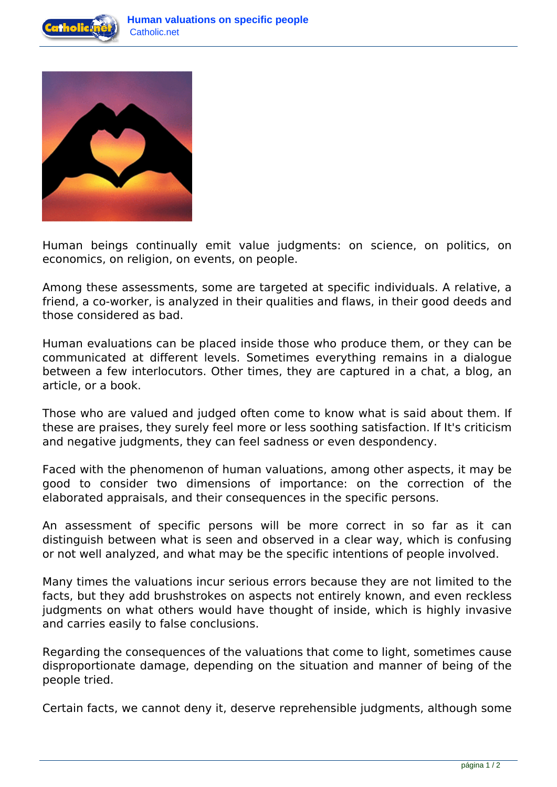



Human beings continually emit value judgments: on science, on politics, on economics, on religion, on events, on people.

Among these assessments, some are targeted at specific individuals. A relative, a friend, a co-worker, is analyzed in their qualities and flaws, in their good deeds and those considered as bad.

Human evaluations can be placed inside those who produce them, or they can be communicated at different levels. Sometimes everything remains in a dialogue between a few interlocutors. Other times, they are captured in a chat, a blog, an article, or a book.

Those who are valued and judged often come to know what is said about them. If these are praises, they surely feel more or less soothing satisfaction. If It's criticism and negative judgments, they can feel sadness or even despondency.

Faced with the phenomenon of human valuations, among other aspects, it may be good to consider two dimensions of importance: on the correction of the elaborated appraisals, and their consequences in the specific persons.

An assessment of specific persons will be more correct in so far as it can distinguish between what is seen and observed in a clear way, which is confusing or not well analyzed, and what may be the specific intentions of people involved.

Many times the valuations incur serious errors because they are not limited to the facts, but they add brushstrokes on aspects not entirely known, and even reckless judgments on what others would have thought of inside, which is highly invasive and carries easily to false conclusions.

Regarding the consequences of the valuations that come to light, sometimes cause disproportionate damage, depending on the situation and manner of being of the people tried.

Certain facts, we cannot deny it, deserve reprehensible judgments, although some